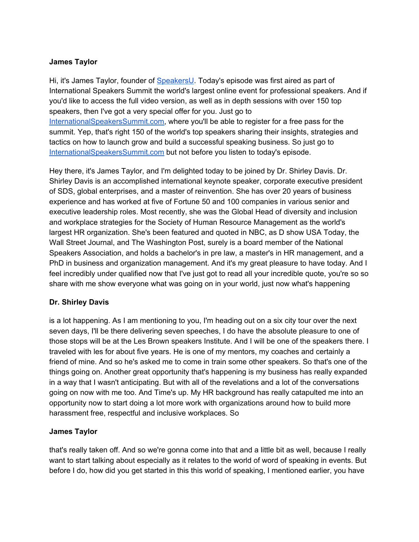## **James Taylor**

Hi, it's James Taylor, founder of [SpeakersU.](https://speakersu.com/) Today's episode was first aired as part of International Speakers Summit the world's largest online event for professional speakers. And if you'd like to access the full video version, as well as in depth sessions with over 150 top speakers, then I've got a very special offer for you. Just go to [InternationalSpeakersSummit.com](http://internationalspeakerssummit.com/), where you'll be able to register for a free pass for the summit. Yep, that's right 150 of the world's top speakers sharing their insights, strategies and tactics on how to launch grow and build a successful speaking business. So just go t[o](http://internationalspeakerssummit.com/) [InternationalSpeakersSummit.com](http://internationalspeakerssummit.com/) but not before you listen to today's episode.

Hey there, it's James Taylor, and I'm delighted today to be joined by Dr. Shirley Davis. Dr. Shirley Davis is an accomplished international keynote speaker, corporate executive president of SDS, global enterprises, and a master of reinvention. She has over 20 years of business experience and has worked at five of Fortune 50 and 100 companies in various senior and executive leadership roles. Most recently, she was the Global Head of diversity and inclusion and workplace strategies for the Society of Human Resource Management as the world's largest HR organization. She's been featured and quoted in NBC, as D show USA Today, the Wall Street Journal, and The Washington Post, surely is a board member of the National Speakers Association, and holds a bachelor's in pre law, a master's in HR management, and a PhD in business and organization management. And it's my great pleasure to have today. And I feel incredibly under qualified now that I've just got to read all your incredible quote, you're so so share with me show everyone what was going on in your world, just now what's happening

#### **Dr. Shirley Davis**

is a lot happening. As I am mentioning to you, I'm heading out on a six city tour over the next seven days, I'll be there delivering seven speeches, I do have the absolute pleasure to one of those stops will be at the Les Brown speakers Institute. And I will be one of the speakers there. I traveled with les for about five years. He is one of my mentors, my coaches and certainly a friend of mine. And so he's asked me to come in train some other speakers. So that's one of the things going on. Another great opportunity that's happening is my business has really expanded in a way that I wasn't anticipating. But with all of the revelations and a lot of the conversations going on now with me too. And Time's up. My HR background has really catapulted me into an opportunity now to start doing a lot more work with organizations around how to build more harassment free, respectful and inclusive workplaces. So

#### **James Taylor**

that's really taken off. And so we're gonna come into that and a little bit as well, because I really want to start talking about especially as it relates to the world of word of speaking in events. But before I do, how did you get started in this this world of speaking, I mentioned earlier, you have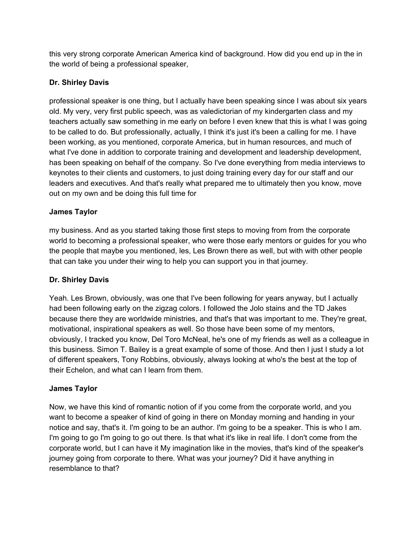this very strong corporate American America kind of background. How did you end up in the in the world of being a professional speaker,

# **Dr. Shirley Davis**

professional speaker is one thing, but I actually have been speaking since I was about six years old. My very, very first public speech, was as valedictorian of my kindergarten class and my teachers actually saw something in me early on before I even knew that this is what I was going to be called to do. But professionally, actually, I think it's just it's been a calling for me. I have been working, as you mentioned, corporate America, but in human resources, and much of what I've done in addition to corporate training and development and leadership development, has been speaking on behalf of the company. So I've done everything from media interviews to keynotes to their clients and customers, to just doing training every day for our staff and our leaders and executives. And that's really what prepared me to ultimately then you know, move out on my own and be doing this full time for

## **James Taylor**

my business. And as you started taking those first steps to moving from from the corporate world to becoming a professional speaker, who were those early mentors or guides for you who the people that maybe you mentioned, les, Les Brown there as well, but with with other people that can take you under their wing to help you can support you in that journey.

## **Dr. Shirley Davis**

Yeah. Les Brown, obviously, was one that I've been following for years anyway, but I actually had been following early on the zigzag colors. I followed the Jolo stains and the TD Jakes because there they are worldwide ministries, and that's that was important to me. They're great, motivational, inspirational speakers as well. So those have been some of my mentors, obviously, I tracked you know, Del Toro McNeal, he's one of my friends as well as a colleague in this business. Simon T. Bailey is a great example of some of those. And then I just I study a lot of different speakers, Tony Robbins, obviously, always looking at who's the best at the top of their Echelon, and what can I learn from them.

## **James Taylor**

Now, we have this kind of romantic notion of if you come from the corporate world, and you want to become a speaker of kind of going in there on Monday morning and handing in your notice and say, that's it. I'm going to be an author. I'm going to be a speaker. This is who I am. I'm going to go I'm going to go out there. Is that what it's like in real life. I don't come from the corporate world, but I can have it My imagination like in the movies, that's kind of the speaker's journey going from corporate to there. What was your journey? Did it have anything in resemblance to that?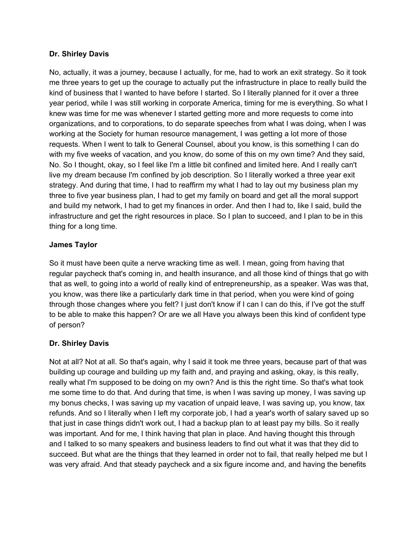### **Dr. Shirley Davis**

No, actually, it was a journey, because I actually, for me, had to work an exit strategy. So it took me three years to get up the courage to actually put the infrastructure in place to really build the kind of business that I wanted to have before I started. So I literally planned for it over a three year period, while I was still working in corporate America, timing for me is everything. So what I knew was time for me was whenever I started getting more and more requests to come into organizations, and to corporations, to do separate speeches from what I was doing, when I was working at the Society for human resource management, I was getting a lot more of those requests. When I went to talk to General Counsel, about you know, is this something I can do with my five weeks of vacation, and you know, do some of this on my own time? And they said, No. So I thought, okay, so I feel like I'm a little bit confined and limited here. And I really can't live my dream because I'm confined by job description. So I literally worked a three year exit strategy. And during that time, I had to reaffirm my what I had to lay out my business plan my three to five year business plan, I had to get my family on board and get all the moral support and build my network, I had to get my finances in order. And then I had to, like I said, build the infrastructure and get the right resources in place. So I plan to succeed, and I plan to be in this thing for a long time.

## **James Taylor**

So it must have been quite a nerve wracking time as well. I mean, going from having that regular paycheck that's coming in, and health insurance, and all those kind of things that go with that as well, to going into a world of really kind of entrepreneurship, as a speaker. Was was that, you know, was there like a particularly dark time in that period, when you were kind of going through those changes where you felt? I just don't know if I can I can do this, if I've got the stuff to be able to make this happen? Or are we all Have you always been this kind of confident type of person?

#### **Dr. Shirley Davis**

Not at all? Not at all. So that's again, why I said it took me three years, because part of that was building up courage and building up my faith and, and praying and asking, okay, is this really, really what I'm supposed to be doing on my own? And is this the right time. So that's what took me some time to do that. And during that time, is when I was saving up money, I was saving up my bonus checks, I was saving up my vacation of unpaid leave, I was saving up, you know, tax refunds. And so I literally when I left my corporate job, I had a year's worth of salary saved up so that just in case things didn't work out, I had a backup plan to at least pay my bills. So it really was important. And for me, I think having that plan in place. And having thought this through and I talked to so many speakers and business leaders to find out what it was that they did to succeed. But what are the things that they learned in order not to fail, that really helped me but I was very afraid. And that steady paycheck and a six figure income and, and having the benefits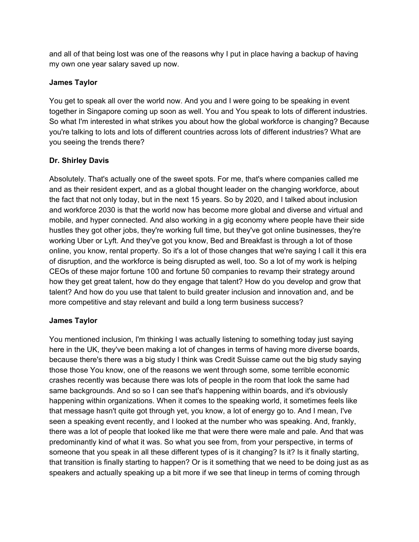and all of that being lost was one of the reasons why I put in place having a backup of having my own one year salary saved up now.

## **James Taylor**

You get to speak all over the world now. And you and I were going to be speaking in event together in Singapore coming up soon as well. You and You speak to lots of different industries. So what I'm interested in what strikes you about how the global workforce is changing? Because you're talking to lots and lots of different countries across lots of different industries? What are you seeing the trends there?

## **Dr. Shirley Davis**

Absolutely. That's actually one of the sweet spots. For me, that's where companies called me and as their resident expert, and as a global thought leader on the changing workforce, about the fact that not only today, but in the next 15 years. So by 2020, and I talked about inclusion and workforce 2030 is that the world now has become more global and diverse and virtual and mobile, and hyper connected. And also working in a gig economy where people have their side hustles they got other jobs, they're working full time, but they've got online businesses, they're working Uber or Lyft. And they've got you know, Bed and Breakfast is through a lot of those online, you know, rental property. So it's a lot of those changes that we're saying I call it this era of disruption, and the workforce is being disrupted as well, too. So a lot of my work is helping CEOs of these major fortune 100 and fortune 50 companies to revamp their strategy around how they get great talent, how do they engage that talent? How do you develop and grow that talent? And how do you use that talent to build greater inclusion and innovation and, and be more competitive and stay relevant and build a long term business success?

#### **James Taylor**

You mentioned inclusion, I'm thinking I was actually listening to something today just saying here in the UK, they've been making a lot of changes in terms of having more diverse boards, because there's there was a big study I think was Credit Suisse came out the big study saying those those You know, one of the reasons we went through some, some terrible economic crashes recently was because there was lots of people in the room that look the same had same backgrounds. And so so I can see that's happening within boards, and it's obviously happening within organizations. When it comes to the speaking world, it sometimes feels like that message hasn't quite got through yet, you know, a lot of energy go to. And I mean, I've seen a speaking event recently, and I looked at the number who was speaking. And, frankly, there was a lot of people that looked like me that were there were male and pale. And that was predominantly kind of what it was. So what you see from, from your perspective, in terms of someone that you speak in all these different types of is it changing? Is it? Is it finally starting, that transition is finally starting to happen? Or is it something that we need to be doing just as as speakers and actually speaking up a bit more if we see that lineup in terms of coming through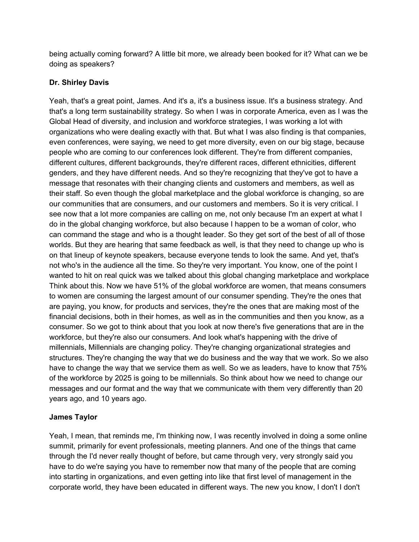being actually coming forward? A little bit more, we already been booked for it? What can we be doing as speakers?

## **Dr. Shirley Davis**

Yeah, that's a great point, James. And it's a, it's a business issue. It's a business strategy. And that's a long term sustainability strategy. So when I was in corporate America, even as I was the Global Head of diversity, and inclusion and workforce strategies, I was working a lot with organizations who were dealing exactly with that. But what I was also finding is that companies, even conferences, were saying, we need to get more diversity, even on our big stage, because people who are coming to our conferences look different. They're from different companies, different cultures, different backgrounds, they're different races, different ethnicities, different genders, and they have different needs. And so they're recognizing that they've got to have a message that resonates with their changing clients and customers and members, as well as their staff. So even though the global marketplace and the global workforce is changing, so are our communities that are consumers, and our customers and members. So it is very critical. I see now that a lot more companies are calling on me, not only because I'm an expert at what I do in the global changing workforce, but also because I happen to be a woman of color, who can command the stage and who is a thought leader. So they get sort of the best of all of those worlds. But they are hearing that same feedback as well, is that they need to change up who is on that lineup of keynote speakers, because everyone tends to look the same. And yet, that's not who's in the audience all the time. So they're very important. You know, one of the point I wanted to hit on real quick was we talked about this global changing marketplace and workplace Think about this. Now we have 51% of the global workforce are women, that means consumers to women are consuming the largest amount of our consumer spending. They're the ones that are paying, you know, for products and services, they're the ones that are making most of the financial decisions, both in their homes, as well as in the communities and then you know, as a consumer. So we got to think about that you look at now there's five generations that are in the workforce, but they're also our consumers. And look what's happening with the drive of millennials, Millennials are changing policy. They're changing organizational strategies and structures. They're changing the way that we do business and the way that we work. So we also have to change the way that we service them as well. So we as leaders, have to know that 75% of the workforce by 2025 is going to be millennials. So think about how we need to change our messages and our format and the way that we communicate with them very differently than 20 years ago, and 10 years ago.

## **James Taylor**

Yeah, I mean, that reminds me, I'm thinking now, I was recently involved in doing a some online summit, primarily for event professionals, meeting planners. And one of the things that came through the I'd never really thought of before, but came through very, very strongly said you have to do we're saying you have to remember now that many of the people that are coming into starting in organizations, and even getting into like that first level of management in the corporate world, they have been educated in different ways. The new you know, I don't I don't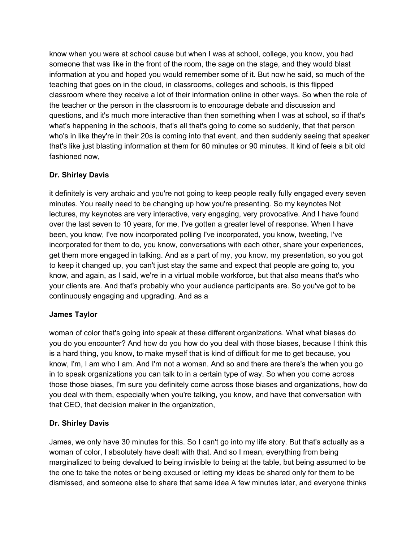know when you were at school cause but when I was at school, college, you know, you had someone that was like in the front of the room, the sage on the stage, and they would blast information at you and hoped you would remember some of it. But now he said, so much of the teaching that goes on in the cloud, in classrooms, colleges and schools, is this flipped classroom where they receive a lot of their information online in other ways. So when the role of the teacher or the person in the classroom is to encourage debate and discussion and questions, and it's much more interactive than then something when I was at school, so if that's what's happening in the schools, that's all that's going to come so suddenly, that that person who's in like they're in their 20s is coming into that event, and then suddenly seeing that speaker that's like just blasting information at them for 60 minutes or 90 minutes. It kind of feels a bit old fashioned now,

# **Dr. Shirley Davis**

it definitely is very archaic and you're not going to keep people really fully engaged every seven minutes. You really need to be changing up how you're presenting. So my keynotes Not lectures, my keynotes are very interactive, very engaging, very provocative. And I have found over the last seven to 10 years, for me, I've gotten a greater level of response. When I have been, you know, I've now incorporated polling I've incorporated, you know, tweeting, I've incorporated for them to do, you know, conversations with each other, share your experiences, get them more engaged in talking. And as a part of my, you know, my presentation, so you got to keep it changed up, you can't just stay the same and expect that people are going to, you know, and again, as I said, we're in a virtual mobile workforce, but that also means that's who your clients are. And that's probably who your audience participants are. So you've got to be continuously engaging and upgrading. And as a

## **James Taylor**

woman of color that's going into speak at these different organizations. What what biases do you do you encounter? And how do you how do you deal with those biases, because I think this is a hard thing, you know, to make myself that is kind of difficult for me to get because, you know, I'm, I am who I am. And I'm not a woman. And so and there are there's the when you go in to speak organizations you can talk to in a certain type of way. So when you come across those those biases, I'm sure you definitely come across those biases and organizations, how do you deal with them, especially when you're talking, you know, and have that conversation with that CEO, that decision maker in the organization,

## **Dr. Shirley Davis**

James, we only have 30 minutes for this. So I can't go into my life story. But that's actually as a woman of color, I absolutely have dealt with that. And so I mean, everything from being marginalized to being devalued to being invisible to being at the table, but being assumed to be the one to take the notes or being excused or letting my ideas be shared only for them to be dismissed, and someone else to share that same idea A few minutes later, and everyone thinks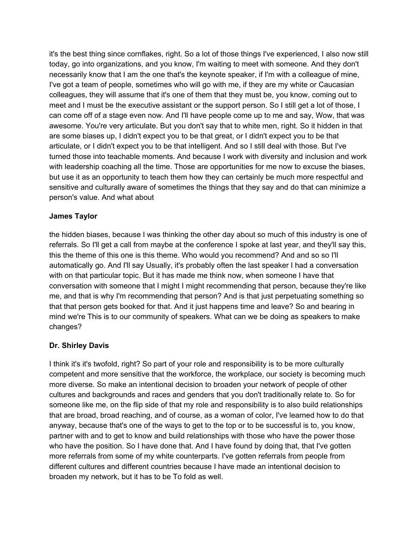it's the best thing since cornflakes, right. So a lot of those things I've experienced, I also now still today, go into organizations, and you know, I'm waiting to meet with someone. And they don't necessarily know that I am the one that's the keynote speaker, if I'm with a colleague of mine, I've got a team of people, sometimes who will go with me, if they are my white or Caucasian colleagues, they will assume that it's one of them that they must be, you know, coming out to meet and I must be the executive assistant or the support person. So I still get a lot of those, I can come off of a stage even now. And I'll have people come up to me and say, Wow, that was awesome. You're very articulate. But you don't say that to white men, right. So it hidden in that are some biases up, I didn't expect you to be that great, or I didn't expect you to be that articulate, or I didn't expect you to be that intelligent. And so I still deal with those. But I've turned those into teachable moments. And because I work with diversity and inclusion and work with leadership coaching all the time. Those are opportunities for me now to excuse the biases, but use it as an opportunity to teach them how they can certainly be much more respectful and sensitive and culturally aware of sometimes the things that they say and do that can minimize a person's value. And what about

## **James Taylor**

the hidden biases, because I was thinking the other day about so much of this industry is one of referrals. So I'll get a call from maybe at the conference I spoke at last year, and they'll say this, this the theme of this one is this theme. Who would you recommend? And and so so I'll automatically go. And I'll say Usually, it's probably often the last speaker I had a conversation with on that particular topic. But it has made me think now, when someone I have that conversation with someone that I might I might recommending that person, because they're like me, and that is why I'm recommending that person? And is that just perpetuating something so that that person gets booked for that. And it just happens time and leave? So and bearing in mind we're This is to our community of speakers. What can we be doing as speakers to make changes?

#### **Dr. Shirley Davis**

I think it's it's twofold, right? So part of your role and responsibility is to be more culturally competent and more sensitive that the workforce, the workplace, our society is becoming much more diverse. So make an intentional decision to broaden your network of people of other cultures and backgrounds and races and genders that you don't traditionally relate to. So for someone like me, on the flip side of that my role and responsibility is to also build relationships that are broad, broad reaching, and of course, as a woman of color, I've learned how to do that anyway, because that's one of the ways to get to the top or to be successful is to, you know, partner with and to get to know and build relationships with those who have the power those who have the position. So I have done that. And I have found by doing that, that I've gotten more referrals from some of my white counterparts. I've gotten referrals from people from different cultures and different countries because I have made an intentional decision to broaden my network, but it has to be To fold as well.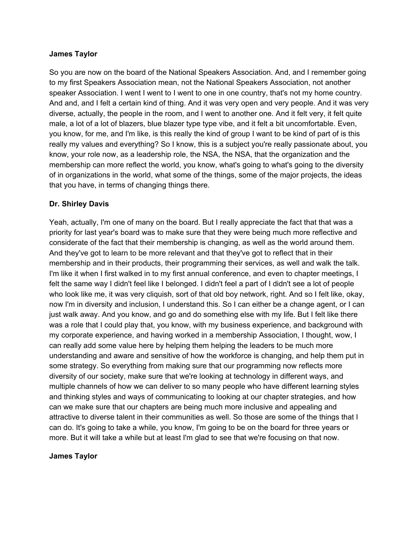#### **James Taylor**

So you are now on the board of the National Speakers Association. And, and I remember going to my first Speakers Association mean, not the National Speakers Association, not another speaker Association. I went I went to I went to one in one country, that's not my home country. And and, and I felt a certain kind of thing. And it was very open and very people. And it was very diverse, actually, the people in the room, and I went to another one. And it felt very, it felt quite male, a lot of a lot of blazers, blue blazer type type vibe, and it felt a bit uncomfortable. Even, you know, for me, and I'm like, is this really the kind of group I want to be kind of part of is this really my values and everything? So I know, this is a subject you're really passionate about, you know, your role now, as a leadership role, the NSA, the NSA, that the organization and the membership can more reflect the world, you know, what's going to what's going to the diversity of in organizations in the world, what some of the things, some of the major projects, the ideas that you have, in terms of changing things there.

#### **Dr. Shirley Davis**

Yeah, actually, I'm one of many on the board. But I really appreciate the fact that that was a priority for last year's board was to make sure that they were being much more reflective and considerate of the fact that their membership is changing, as well as the world around them. And they've got to learn to be more relevant and that they've got to reflect that in their membership and in their products, their programming their services, as well and walk the talk. I'm like it when I first walked in to my first annual conference, and even to chapter meetings, I felt the same way I didn't feel like I belonged. I didn't feel a part of I didn't see a lot of people who look like me, it was very cliquish, sort of that old boy network, right. And so I felt like, okay, now I'm in diversity and inclusion, I understand this. So I can either be a change agent, or I can just walk away. And you know, and go and do something else with my life. But I felt like there was a role that I could play that, you know, with my business experience, and background with my corporate experience, and having worked in a membership Association, I thought, wow, I can really add some value here by helping them helping the leaders to be much more understanding and aware and sensitive of how the workforce is changing, and help them put in some strategy. So everything from making sure that our programming now reflects more diversity of our society, make sure that we're looking at technology in different ways, and multiple channels of how we can deliver to so many people who have different learning styles and thinking styles and ways of communicating to looking at our chapter strategies, and how can we make sure that our chapters are being much more inclusive and appealing and attractive to diverse talent in their communities as well. So those are some of the things that I can do. It's going to take a while, you know, I'm going to be on the board for three years or more. But it will take a while but at least I'm glad to see that we're focusing on that now.

#### **James Taylor**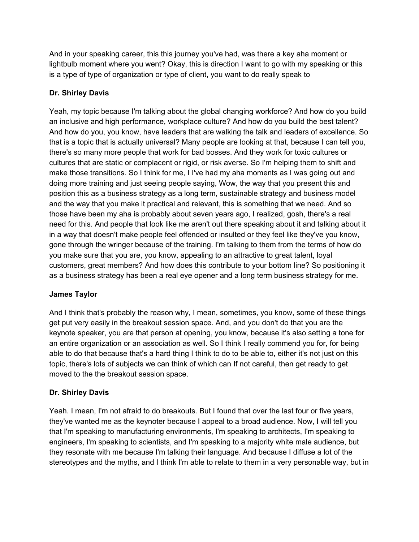And in your speaking career, this this journey you've had, was there a key aha moment or lightbulb moment where you went? Okay, this is direction I want to go with my speaking or this is a type of type of organization or type of client, you want to do really speak to

# **Dr. Shirley Davis**

Yeah, my topic because I'm talking about the global changing workforce? And how do you build an inclusive and high performance, workplace culture? And how do you build the best talent? And how do you, you know, have leaders that are walking the talk and leaders of excellence. So that is a topic that is actually universal? Many people are looking at that, because I can tell you, there's so many more people that work for bad bosses. And they work for toxic cultures or cultures that are static or complacent or rigid, or risk averse. So I'm helping them to shift and make those transitions. So I think for me, I I've had my aha moments as I was going out and doing more training and just seeing people saying, Wow, the way that you present this and position this as a business strategy as a long term, sustainable strategy and business model and the way that you make it practical and relevant, this is something that we need. And so those have been my aha is probably about seven years ago, I realized, gosh, there's a real need for this. And people that look like me aren't out there speaking about it and talking about it in a way that doesn't make people feel offended or insulted or they feel like they've you know, gone through the wringer because of the training. I'm talking to them from the terms of how do you make sure that you are, you know, appealing to an attractive to great talent, loyal customers, great members? And how does this contribute to your bottom line? So positioning it as a business strategy has been a real eye opener and a long term business strategy for me.

## **James Taylor**

And I think that's probably the reason why, I mean, sometimes, you know, some of these things get put very easily in the breakout session space. And, and you don't do that you are the keynote speaker, you are that person at opening, you know, because it's also setting a tone for an entire organization or an association as well. So I think I really commend you for, for being able to do that because that's a hard thing I think to do to be able to, either it's not just on this topic, there's lots of subjects we can think of which can If not careful, then get ready to get moved to the the breakout session space.

## **Dr. Shirley Davis**

Yeah. I mean, I'm not afraid to do breakouts. But I found that over the last four or five years, they've wanted me as the keynoter because I appeal to a broad audience. Now, I will tell you that I'm speaking to manufacturing environments, I'm speaking to architects, I'm speaking to engineers, I'm speaking to scientists, and I'm speaking to a majority white male audience, but they resonate with me because I'm talking their language. And because I diffuse a lot of the stereotypes and the myths, and I think I'm able to relate to them in a very personable way, but in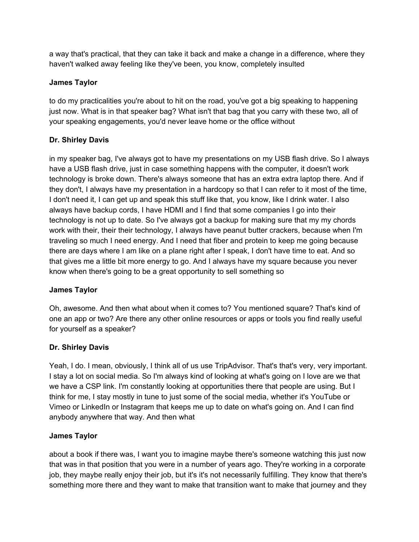a way that's practical, that they can take it back and make a change in a difference, where they haven't walked away feeling like they've been, you know, completely insulted

## **James Taylor**

to do my practicalities you're about to hit on the road, you've got a big speaking to happening just now. What is in that speaker bag? What isn't that bag that you carry with these two, all of your speaking engagements, you'd never leave home or the office without

# **Dr. Shirley Davis**

in my speaker bag, I've always got to have my presentations on my USB flash drive. So I always have a USB flash drive, just in case something happens with the computer, it doesn't work technology is broke down. There's always someone that has an extra extra laptop there. And if they don't, I always have my presentation in a hardcopy so that I can refer to it most of the time, I don't need it, I can get up and speak this stuff like that, you know, like I drink water. I also always have backup cords, I have HDMI and I find that some companies I go into their technology is not up to date. So I've always got a backup for making sure that my my chords work with their, their their technology, I always have peanut butter crackers, because when I'm traveling so much I need energy. And I need that fiber and protein to keep me going because there are days where I am like on a plane right after I speak, I don't have time to eat. And so that gives me a little bit more energy to go. And I always have my square because you never know when there's going to be a great opportunity to sell something so

## **James Taylor**

Oh, awesome. And then what about when it comes to? You mentioned square? That's kind of one an app or two? Are there any other online resources or apps or tools you find really useful for yourself as a speaker?

## **Dr. Shirley Davis**

Yeah, I do. I mean, obviously, I think all of us use TripAdvisor. That's that's very, very important. I stay a lot on social media. So I'm always kind of looking at what's going on I love are we that we have a CSP link. I'm constantly looking at opportunities there that people are using. But I think for me, I stay mostly in tune to just some of the social media, whether it's YouTube or Vimeo or LinkedIn or Instagram that keeps me up to date on what's going on. And I can find anybody anywhere that way. And then what

## **James Taylor**

about a book if there was, I want you to imagine maybe there's someone watching this just now that was in that position that you were in a number of years ago. They're working in a corporate job, they maybe really enjoy their job, but it's it's not necessarily fulfilling. They know that there's something more there and they want to make that transition want to make that journey and they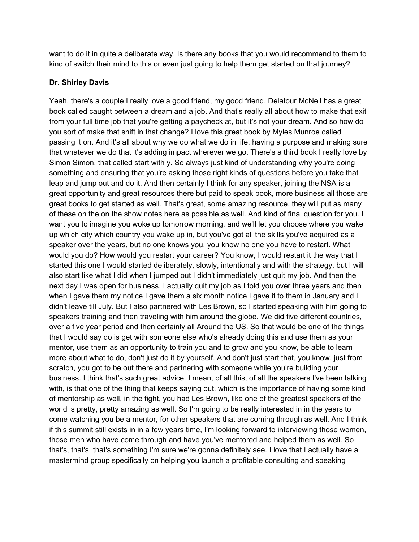want to do it in quite a deliberate way. Is there any books that you would recommend to them to kind of switch their mind to this or even just going to help them get started on that journey?

## **Dr. Shirley Davis**

Yeah, there's a couple I really love a good friend, my good friend, Delatour McNeil has a great book called caught between a dream and a job. And that's really all about how to make that exit from your full time job that you're getting a paycheck at, but it's not your dream. And so how do you sort of make that shift in that change? I love this great book by Myles Munroe called passing it on. And it's all about why we do what we do in life, having a purpose and making sure that whatever we do that it's adding impact wherever we go. There's a third book I really love by Simon Simon, that called start with y. So always just kind of understanding why you're doing something and ensuring that you're asking those right kinds of questions before you take that leap and jump out and do it. And then certainly I think for any speaker, joining the NSA is a great opportunity and great resources there but paid to speak book, more business all those are great books to get started as well. That's great, some amazing resource, they will put as many of these on the on the show notes here as possible as well. And kind of final question for you. I want you to imagine you woke up tomorrow morning, and we'll let you choose where you wake up which city which country you wake up in, but you've got all the skills you've acquired as a speaker over the years, but no one knows you, you know no one you have to restart. What would you do? How would you restart your career? You know, I would restart it the way that I started this one I would started deliberately, slowly, intentionally and with the strategy, but I will also start like what I did when I jumped out I didn't immediately just quit my job. And then the next day I was open for business. I actually quit my job as I told you over three years and then when I gave them my notice I gave them a six month notice I gave it to them in January and I didn't leave till July. But I also partnered with Les Brown, so I started speaking with him going to speakers training and then traveling with him around the globe. We did five different countries, over a five year period and then certainly all Around the US. So that would be one of the things that I would say do is get with someone else who's already doing this and use them as your mentor, use them as an opportunity to train you and to grow and you know, be able to learn more about what to do, don't just do it by yourself. And don't just start that, you know, just from scratch, you got to be out there and partnering with someone while you're building your business. I think that's such great advice. I mean, of all this, of all the speakers I've been talking with, is that one of the thing that keeps saying out, which is the importance of having some kind of mentorship as well, in the fight, you had Les Brown, like one of the greatest speakers of the world is pretty, pretty amazing as well. So I'm going to be really interested in in the years to come watching you be a mentor, for other speakers that are coming through as well. And I think if this summit still exists in in a few years time, I'm looking forward to interviewing those women, those men who have come through and have you've mentored and helped them as well. So that's, that's, that's something I'm sure we're gonna definitely see. I love that I actually have a mastermind group specifically on helping you launch a profitable consulting and speaking